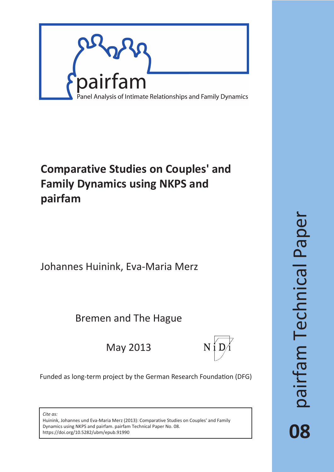

# **Comparative Studies on Couples' and Family Dynamics using NKPS and pairfam**

Johannes Huinink, Eva-Maria Merz

Bremen and The Hague

May 2013



Funded as long-term project by the German Research Foundation (DFG)

*Cite as:*

Huinink, Johannes und Eva-Maria Merz (2013): Comparative Studies on Couples' and Family Dynamics using NKPS and pairfam. pairfam Technical Paper No. 08. https://doi.org/10.5282/ubm/epub.91990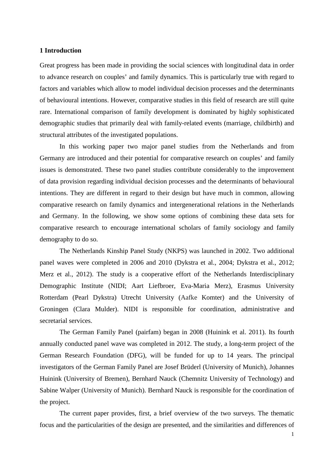#### **1 Introduction**

Great progress has been made in providing the social sciences with longitudinal data in order to advance research on couples' and family dynamics. This is particularly true with regard to factors and variables which allow to model individual decision processes and the determinants of behavioural intentions. However, comparative studies in this field of research are still quite rare. International comparison of family development is dominated by highly sophisticated demographic studies that primarily deal with family-related events (marriage, childbirth) and structural attributes of the investigated populations.

In this working paper two major panel studies from the Netherlands and from Germany are introduced and their potential for comparative research on couples' and family issues is demonstrated. These two panel studies contribute considerably to the improvement of data provision regarding individual decision processes and the determinants of behavioural intentions. They are different in regard to their design but have much in common, allowing comparative research on family dynamics and intergenerational relations in the Netherlands and Germany. In the following, we show some options of combining these data sets for comparative research to encourage international scholars of family sociology and family demography to do so.

The Netherlands Kinship Panel Study (NKPS) was launched in 2002. Two additional panel waves were completed in 2006 and 2010 (Dykstra et al., 2004; Dykstra et al., 2012; Merz et al., 2012). The study is a cooperative effort of the Netherlands Interdisciplinary Demographic Institute (NIDI; Aart Liefbroer, Eva-Maria Merz), Erasmus University Rotterdam (Pearl Dykstra) Utrecht University (Aafke Komter) and the University of Groningen (Clara Mulder). NIDI is responsible for coordination, administrative and secretarial services.

The German Family Panel (pairfam) began in 2008 (Huinink et al. 2011). Its fourth annually conducted panel wave was completed in 2012. The study, a long-term project of the German Research Foundation (DFG), will be funded for up to 14 years. The principal investigators of the German Family Panel are Josef Brüderl (University of Munich), Johannes Huinink (University of Bremen), Bernhard Nauck (Chemnitz University of Technology) and Sabine Walper (University of Munich). Bernhard Nauck is responsible for the coordination of the project.

The current paper provides, first, a brief overview of the two surveys. The thematic focus and the particularities of the design are presented, and the similarities and differences of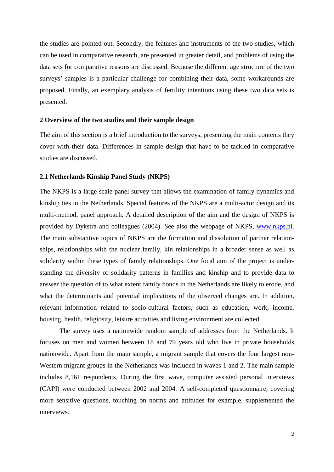the studies are pointed out. Secondly, the features and instruments of the two studies, which can be used in comparative research, are presented in greater detail, and problems of using the data sets for comparative reasons are discussed. Because the different age structure of the two surveys' samples is a particular challenge for combining their data, some workarounds are proposed. Finally, an exemplary analysis of fertility intentions using these two data sets is presented.

## **2 Overview of the two studies and their sample design**

The aim of this section is a brief introduction to the surveys, presenting the main contents they cover with their data. Differences in sample design that have to be tackled in comparative studies are discussed.

## **2.1 Netherlands Kinship Panel Study (NKPS)**

The NKPS is a large scale panel survey that allows the examination of family dynamics and kinship ties in the Netherlands. Special features of the NKPS are a multi-actor design and its multi-method, panel approach. A detailed description of the aim and the design of NKPS is provided by Dykstra and colleagues (2004). See also the webpage of NKPS, [www.nkps.nl.](http://www.nkps.nl/) The main substantive topics of NKPS are the formation and dissolution of partner relationships, relationships with the nuclear family, kin relationships in a broader sense as well as solidarity within these types of family relationships. One focal aim of the project is understanding the diversity of solidarity patterns in families and kinship and to provide data to answer the question of to what extent family bonds in the Netherlands are likely to erode, and what the determinants and potential implications of the observed changes are. In addition, relevant information related to socio-cultural factors, such as education, work, income, housing, health, religiosity, leisure activities and living environment are collected.

The survey uses a nationwide random sample of addresses from the Netherlands. It focuses on men and women between 18 and 79 years old who live in private households nationwide. Apart from the main sample, a migrant sample that covers the four largest non-Western migrant groups in the Netherlands was included in waves 1 and 2. The main sample includes 8,161 respondents. During the first wave, computer assisted personal interviews (CAPI) were conducted between 2002 and 2004. A self-completed questionnaire, covering more sensitive questions, touching on norms and attitudes for example, supplemented the interviews.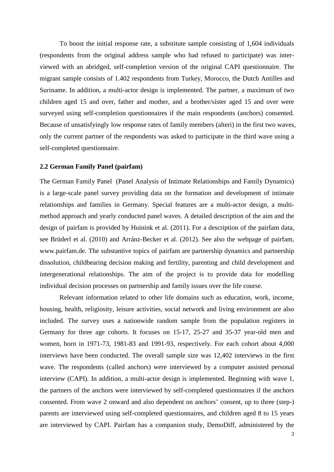To boost the initial response rate, a substitute sample consisting of 1,604 individuals (respondents from the original address sample who had refused to participate) was interviewed with an abridged, self-completion version of the original CAPI questionnaire. The migrant sample consists of 1.402 respondents from Turkey, Morocco, the Dutch Antilles and Suriname. In addition, a multi-actor design is implemented. The partner, a maximum of two children aged 15 and over, father and mother, and a brother/sister aged 15 and over were surveyed using self-completion questionnaires if the main respondents (anchors) consented. Because of unsatisfyingly low response rates of family members (alteri) in the first two waves, only the current partner of the respondents was asked to participate in the third wave using a self-completed questionnaire.

## **2.2 German Family Panel (pairfam)**

The German Family Panel (Panel Analysis of Intimate Relationships and Family Dynamics) is a large-scale panel survey providing data on the formation and development of intimate relationships and families in Germany. Special features are a multi-actor design, a multimethod approach and yearly conducted panel waves. A detailed description of the aim and the design of pairfam is provided by Huinink et al. (2011). For a description of the pairfam data, see Brüderl et al. (2010) and Arránz-Becker et al. (2012). See also the webpage of pairfam, [www.pairfam.de.](http://www.pairfam.de/) The substantive topics of pairfam are partnership dynamics and partnership dissolution, childbearing decision making and fertility, parenting and child development and intergenerational relationships. The aim of the project is to provide data for modelling individual decision processes on partnership and family issues over the life course.

Relevant information related to other life domains such as education, work, income, housing, health, religiosity, leisure activities, social network and living environment are also included. The survey uses a nationwide random sample from the population registers in Germany for three age cohorts. It focuses on 15-17, 25-27 and 35-37 year-old men and women, born in 1971-73, 1981-83 and 1991-93, respectively. For each cohort about 4,000 interviews have been conducted. The overall sample size was 12,402 interviews in the first wave. The respondents (called anchors) were interviewed by a computer assisted personal interview (CAPI). In addition, a multi-actor design is implemented. Beginning with wave 1, the partners of the anchors were interviewed by self-completed questionnaires if the anchors consented. From wave 2 onward and also dependent on anchors' consent, up to three (step-) parents are interviewed using self-completed questionnaires, and children aged 8 to 15 years are interviewed by CAPI. Pairfam has a companion study, DemoDiff, administered by the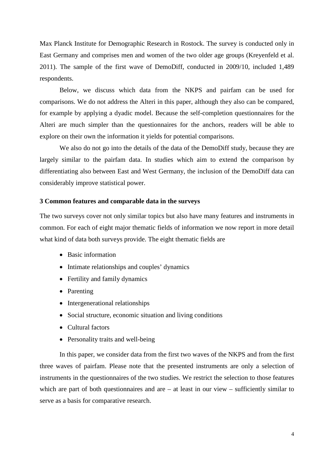Max Planck Institute for Demographic Research in Rostock. The survey is conducted only in East Germany and comprises men and women of the two older age groups (Kreyenfeld et al. 2011). The sample of the first wave of DemoDiff, conducted in 2009/10, included 1,489 respondents.

Below, we discuss which data from the NKPS and pairfam can be used for comparisons. We do not address the Alteri in this paper, although they also can be compared, for example by applying a dyadic model. Because the self-completion questionnaires for the Alteri are much simpler than the questionnaires for the anchors, readers will be able to explore on their own the information it yields for potential comparisons.

We also do not go into the details of the data of the DemoDiff study, because they are largely similar to the pairfam data. In studies which aim to extend the comparison by differentiating also between East and West Germany, the inclusion of the DemoDiff data can considerably improve statistical power.

## **3 Common features and comparable data in the surveys**

The two surveys cover not only similar topics but also have many features and instruments in common. For each of eight major thematic fields of information we now report in more detail what kind of data both surveys provide. The eight thematic fields are

- Basic information
- Intimate relationships and couples' dynamics
- Fertility and family dynamics
- Parenting
- Intergenerational relationships
- Social structure, economic situation and living conditions
- Cultural factors
- Personality traits and well-being

In this paper, we consider data from the first two waves of the NKPS and from the first three waves of pairfam. Please note that the presented instruments are only a selection of instruments in the questionnaires of the two studies. We restrict the selection to those features which are part of both questionnaires and are  $-$  at least in our view  $-$  sufficiently similar to serve as a basis for comparative research.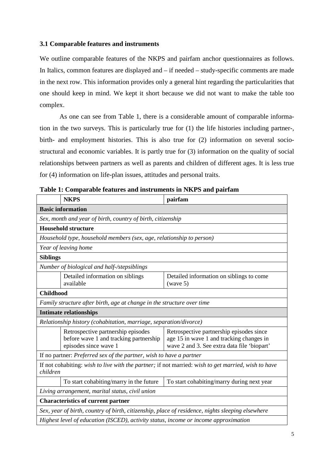## **3.1 Comparable features and instruments**

We outline comparable features of the NKPS and pairfam anchor questionnaires as follows. In Italics, common features are displayed and – if needed – study-specific comments are made in the next row. This information provides only a general hint regarding the particularities that one should keep in mind. We kept it short because we did not want to make the table too complex.

As one can see from Table 1, there is a considerable amount of comparable information in the two surveys. This is particularly true for (1) the life histories including partner-, birth- and employment histories. This is also true for (2) information on several sociostructural and economic variables. It is partly true for (3) information on the quality of social relationships between partners as well as parents and children of different ages. It is less true for (4) information on life-plan issues, attitudes and personal traits.

|                                                                                                                 | <b>NKPS</b>                                                                                           | pairfam                                                                                                                             |  |  |  |  |  |
|-----------------------------------------------------------------------------------------------------------------|-------------------------------------------------------------------------------------------------------|-------------------------------------------------------------------------------------------------------------------------------------|--|--|--|--|--|
| <b>Basic information</b>                                                                                        |                                                                                                       |                                                                                                                                     |  |  |  |  |  |
|                                                                                                                 | Sex, month and year of birth, country of birth, citizenship                                           |                                                                                                                                     |  |  |  |  |  |
|                                                                                                                 | <b>Household structure</b>                                                                            |                                                                                                                                     |  |  |  |  |  |
|                                                                                                                 | Household type, household members (sex, age, relationship to person)                                  |                                                                                                                                     |  |  |  |  |  |
|                                                                                                                 | Year of leaving home                                                                                  |                                                                                                                                     |  |  |  |  |  |
| <b>Siblings</b>                                                                                                 |                                                                                                       |                                                                                                                                     |  |  |  |  |  |
|                                                                                                                 | Number of biological and half-/stepsiblings                                                           |                                                                                                                                     |  |  |  |  |  |
|                                                                                                                 | Detailed information on siblings<br>Detailed information on siblings to come<br>available<br>(wave 5) |                                                                                                                                     |  |  |  |  |  |
| <b>Childhood</b>                                                                                                |                                                                                                       |                                                                                                                                     |  |  |  |  |  |
|                                                                                                                 | Family structure after birth, age at change in the structure over time                                |                                                                                                                                     |  |  |  |  |  |
|                                                                                                                 | <b>Intimate relationships</b>                                                                         |                                                                                                                                     |  |  |  |  |  |
|                                                                                                                 | Relationship history (cohabitation, marriage, separation/divorce)                                     |                                                                                                                                     |  |  |  |  |  |
|                                                                                                                 | Retrospective partnership episodes<br>before wave 1 and tracking partnership<br>episodes since wave 1 | Retrospective partnership episodes since<br>age 15 in wave 1 and tracking changes in<br>wave 2 and 3. See extra data file 'biopart' |  |  |  |  |  |
|                                                                                                                 | If no partner: Preferred sex of the partner, wish to have a partner                                   |                                                                                                                                     |  |  |  |  |  |
| If not cohabiting: wish to live with the partner; if not married: wish to get married, wish to have<br>children |                                                                                                       |                                                                                                                                     |  |  |  |  |  |
|                                                                                                                 | To start cohabiting/marry in the future                                                               | To start cohabiting/marry during next year                                                                                          |  |  |  |  |  |
| Living arrangement, marital status, civil union                                                                 |                                                                                                       |                                                                                                                                     |  |  |  |  |  |
|                                                                                                                 | <b>Characteristics of current partner</b>                                                             |                                                                                                                                     |  |  |  |  |  |
|                                                                                                                 |                                                                                                       | Sex, year of birth, country of birth, citizenship, place of residence, nights sleeping elsewhere                                    |  |  |  |  |  |
|                                                                                                                 | Highest level of education (ISCED), activity status, income or income approximation                   |                                                                                                                                     |  |  |  |  |  |

**Table 1: Comparable features and instruments in NKPS and pairfam**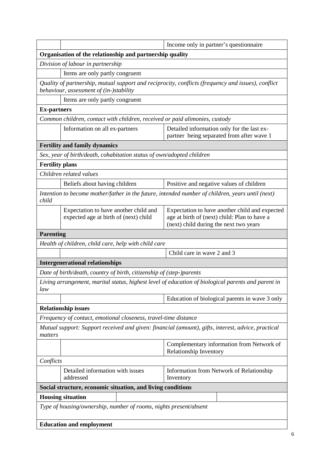|                                                                                                                                               | Income only in partner's questionnaire                                                                                                   |  |  |  |  |  |  |
|-----------------------------------------------------------------------------------------------------------------------------------------------|------------------------------------------------------------------------------------------------------------------------------------------|--|--|--|--|--|--|
| Organisation of the relationship and partnership quality                                                                                      |                                                                                                                                          |  |  |  |  |  |  |
| Division of labour in partnership                                                                                                             |                                                                                                                                          |  |  |  |  |  |  |
| Items are only partly congruent                                                                                                               |                                                                                                                                          |  |  |  |  |  |  |
| Quality of partnership, mutual support and reciprocity, conflicts (frequency and issues), conflict<br>behaviour, assessment of (in-)stability |                                                                                                                                          |  |  |  |  |  |  |
| Items are only partly congruent                                                                                                               |                                                                                                                                          |  |  |  |  |  |  |
| <b>Ex-partners</b>                                                                                                                            |                                                                                                                                          |  |  |  |  |  |  |
| Common children, contact with children, received or paid alimonies, custody                                                                   |                                                                                                                                          |  |  |  |  |  |  |
| Information on all ex-partners                                                                                                                | Detailed information only for the last ex-<br>partner being separated from after wave 1                                                  |  |  |  |  |  |  |
| <b>Fertility and family dynamics</b>                                                                                                          |                                                                                                                                          |  |  |  |  |  |  |
| Sex, year of birth/death, cohabitation status of own/adopted children                                                                         |                                                                                                                                          |  |  |  |  |  |  |
| <b>Fertility plans</b>                                                                                                                        |                                                                                                                                          |  |  |  |  |  |  |
| Children related values                                                                                                                       |                                                                                                                                          |  |  |  |  |  |  |
| Beliefs about having children                                                                                                                 | Positive and negative values of children                                                                                                 |  |  |  |  |  |  |
| Intention to become mother/father in the future, intended number of children, years until (next)<br>child                                     |                                                                                                                                          |  |  |  |  |  |  |
| Expectation to have another child and<br>expected age at birth of (next) child                                                                | Expectation to have another child and expected<br>age at birth of (next) child: Plan to have a<br>(next) child during the next two years |  |  |  |  |  |  |
| <b>Parenting</b>                                                                                                                              |                                                                                                                                          |  |  |  |  |  |  |
| Health of children, child care, help with child care                                                                                          |                                                                                                                                          |  |  |  |  |  |  |
|                                                                                                                                               | Child care in wave 2 and 3                                                                                                               |  |  |  |  |  |  |
| <b>Intergenerational relationships</b>                                                                                                        |                                                                                                                                          |  |  |  |  |  |  |
| Date of birth/death, country of birth, citizenship of (step-)parents                                                                          |                                                                                                                                          |  |  |  |  |  |  |
| Living arrangement, marital status, highest level of education of biological parents and parent in<br>law                                     |                                                                                                                                          |  |  |  |  |  |  |
|                                                                                                                                               | Education of biological parents in wave 3 only                                                                                           |  |  |  |  |  |  |
| <b>Relationship issues</b>                                                                                                                    |                                                                                                                                          |  |  |  |  |  |  |
| Frequency of contact, emotional closeness, travel-time distance                                                                               |                                                                                                                                          |  |  |  |  |  |  |
| Mutual support: Support received and given: financial (amount), gifts, interest, advice, practical<br>matters                                 |                                                                                                                                          |  |  |  |  |  |  |
|                                                                                                                                               | Complementary information from Network of<br>Relationship Inventory                                                                      |  |  |  |  |  |  |
| Conflicts                                                                                                                                     |                                                                                                                                          |  |  |  |  |  |  |
| Detailed information with issues<br>Information from Network of Relationship<br>addressed<br>Inventory                                        |                                                                                                                                          |  |  |  |  |  |  |
| Social structure, economic situation, and living conditions                                                                                   |                                                                                                                                          |  |  |  |  |  |  |
| <b>Housing situation</b>                                                                                                                      |                                                                                                                                          |  |  |  |  |  |  |
| Type of housing/ownership, number of rooms, nights present/absent                                                                             |                                                                                                                                          |  |  |  |  |  |  |
| <b>Education and employment</b>                                                                                                               |                                                                                                                                          |  |  |  |  |  |  |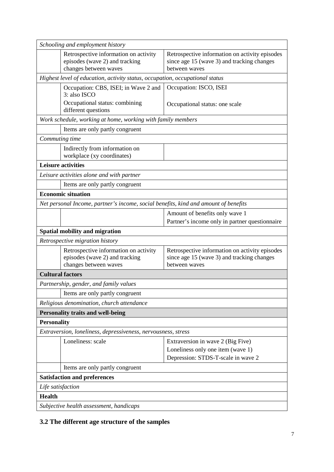|                                                                                         | Schooling and employment history                                                                                                                                                                                  |                                                                                                               |  |  |  |  |  |  |
|-----------------------------------------------------------------------------------------|-------------------------------------------------------------------------------------------------------------------------------------------------------------------------------------------------------------------|---------------------------------------------------------------------------------------------------------------|--|--|--|--|--|--|
|                                                                                         | Retrospective information on activity<br>Retrospective information on activity episodes<br>episodes (wave 2) and tracking<br>since age 15 (wave 3) and tracking changes<br>changes between waves<br>between waves |                                                                                                               |  |  |  |  |  |  |
|                                                                                         | Highest level of education, activity status, occupation, occupational status                                                                                                                                      |                                                                                                               |  |  |  |  |  |  |
|                                                                                         | Occupation: CBS, ISEI; in Wave 2 and<br>3: also ISCO                                                                                                                                                              | Occupation: ISCO, ISEI                                                                                        |  |  |  |  |  |  |
| Occupational status: combining<br>Occupational status: one scale<br>different questions |                                                                                                                                                                                                                   |                                                                                                               |  |  |  |  |  |  |
|                                                                                         | Work schedule, working at home, working with family members                                                                                                                                                       |                                                                                                               |  |  |  |  |  |  |
|                                                                                         | Items are only partly congruent                                                                                                                                                                                   |                                                                                                               |  |  |  |  |  |  |
| Commuting time                                                                          |                                                                                                                                                                                                                   |                                                                                                               |  |  |  |  |  |  |
|                                                                                         | Indirectly from information on<br>workplace (xy coordinates)                                                                                                                                                      |                                                                                                               |  |  |  |  |  |  |
|                                                                                         | <b>Leisure activities</b>                                                                                                                                                                                         |                                                                                                               |  |  |  |  |  |  |
|                                                                                         | Leisure activities alone and with partner                                                                                                                                                                         |                                                                                                               |  |  |  |  |  |  |
|                                                                                         | Items are only partly congruent                                                                                                                                                                                   |                                                                                                               |  |  |  |  |  |  |
|                                                                                         | <b>Economic situation</b>                                                                                                                                                                                         |                                                                                                               |  |  |  |  |  |  |
|                                                                                         | Net personal Income, partner's income, social benefits, kind and amount of benefits                                                                                                                               |                                                                                                               |  |  |  |  |  |  |
|                                                                                         |                                                                                                                                                                                                                   | Amount of benefits only wave 1                                                                                |  |  |  |  |  |  |
|                                                                                         |                                                                                                                                                                                                                   | Partner's income only in partner questionnaire                                                                |  |  |  |  |  |  |
|                                                                                         | Spatial mobility and migration                                                                                                                                                                                    |                                                                                                               |  |  |  |  |  |  |
|                                                                                         | Retrospective migration history                                                                                                                                                                                   |                                                                                                               |  |  |  |  |  |  |
|                                                                                         | Retrospective information on activity<br>episodes (wave 2) and tracking<br>changes between waves                                                                                                                  | Retrospective information on activity episodes<br>since age 15 (wave 3) and tracking changes<br>between waves |  |  |  |  |  |  |
|                                                                                         | <b>Cultural factors</b>                                                                                                                                                                                           |                                                                                                               |  |  |  |  |  |  |
|                                                                                         | Partnership, gender, and family values                                                                                                                                                                            |                                                                                                               |  |  |  |  |  |  |
|                                                                                         | Items are only partly congruent                                                                                                                                                                                   |                                                                                                               |  |  |  |  |  |  |
|                                                                                         | Religious denomination, church attendance                                                                                                                                                                         |                                                                                                               |  |  |  |  |  |  |
|                                                                                         | <b>Personality traits and well-being</b>                                                                                                                                                                          |                                                                                                               |  |  |  |  |  |  |
| <b>Personality</b>                                                                      |                                                                                                                                                                                                                   |                                                                                                               |  |  |  |  |  |  |
|                                                                                         | Extraversion, loneliness, depressiveness, nervousness, stress                                                                                                                                                     |                                                                                                               |  |  |  |  |  |  |
|                                                                                         | Loneliness: scale                                                                                                                                                                                                 | Extraversion in wave 2 (Big Five)                                                                             |  |  |  |  |  |  |
|                                                                                         |                                                                                                                                                                                                                   | Loneliness only one item (wave 1)                                                                             |  |  |  |  |  |  |
|                                                                                         |                                                                                                                                                                                                                   | Depression: STDS-T-scale in wave 2                                                                            |  |  |  |  |  |  |
| Items are only partly congruent                                                         |                                                                                                                                                                                                                   |                                                                                                               |  |  |  |  |  |  |
| <b>Satisfaction and preferences</b>                                                     |                                                                                                                                                                                                                   |                                                                                                               |  |  |  |  |  |  |
| Life satisfaction                                                                       |                                                                                                                                                                                                                   |                                                                                                               |  |  |  |  |  |  |
| <b>Health</b>                                                                           |                                                                                                                                                                                                                   |                                                                                                               |  |  |  |  |  |  |
|                                                                                         | Subjective health assessment, handicaps                                                                                                                                                                           |                                                                                                               |  |  |  |  |  |  |

## **3.2 The different age structure of the samples**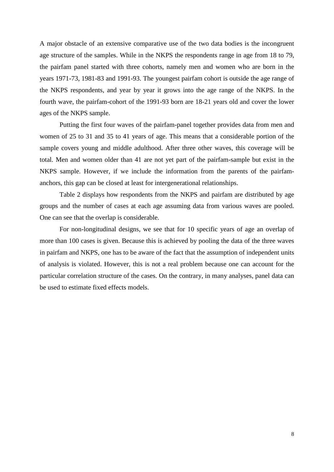A major obstacle of an extensive comparative use of the two data bodies is the incongruent age structure of the samples. While in the NKPS the respondents range in age from 18 to 79, the pairfam panel started with three cohorts, namely men and women who are born in the years 1971-73, 1981-83 and 1991-93. The youngest pairfam cohort is outside the age range of the NKPS respondents, and year by year it grows into the age range of the NKPS. In the fourth wave, the pairfam-cohort of the 1991-93 born are 18-21 years old and cover the lower ages of the NKPS sample.

Putting the first four waves of the pairfam-panel together provides data from men and women of 25 to 31 and 35 to 41 years of age. This means that a considerable portion of the sample covers young and middle adulthood. After three other waves, this coverage will be total. Men and women older than 41 are not yet part of the pairfam-sample but exist in the NKPS sample. However, if we include the information from the parents of the pairfamanchors, this gap can be closed at least for intergenerational relationships.

Table 2 displays how respondents from the NKPS and pairfam are distributed by age groups and the number of cases at each age assuming data from various waves are pooled. One can see that the overlap is considerable.

For non-longitudinal designs, we see that for 10 specific years of age an overlap of more than 100 cases is given. Because this is achieved by pooling the data of the three waves in pairfam and NKPS, one has to be aware of the fact that the assumption of independent units of analysis is violated. However, this is not a real problem because one can account for the particular correlation structure of the cases. On the contrary, in many analyses, panel data can be used to estimate fixed effects models.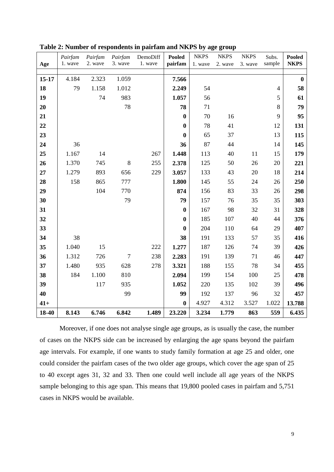|       | Pairfam | Pairfam | Pairfam | DemoDiff | <b>Pooled</b>    | <b>NKPS</b> | <b>NKPS</b> | <b>NKPS</b> | Subs.          | <b>Pooled</b>    |
|-------|---------|---------|---------|----------|------------------|-------------|-------------|-------------|----------------|------------------|
| Age   | 1. wave | 2. wave | 3. wave | 1. wave  | pairfam          | 1. wave     | 2. wave     | 3. wave     | sample         | <b>NKPS</b>      |
| 15-17 | 4.184   | 2.323   | 1.059   |          | 7.566            |             |             |             |                | $\boldsymbol{0}$ |
| 18    | 79      | 1.158   | 1.012   |          | 2.249            | 54          |             |             | $\overline{4}$ | 58               |
| 19    |         | 74      | 983     |          | 1.057            | 56          |             |             | 5              | 61               |
| 20    |         |         | 78      |          | 78               | 71          |             |             | $8\,$          | 79               |
| 21    |         |         |         |          | $\boldsymbol{0}$ | 70          | 16          |             | 9              | 95               |
|       |         |         |         |          |                  | 78          |             |             |                |                  |
| 22    |         |         |         |          | $\boldsymbol{0}$ |             | 41          |             | 12             | 131              |
| 23    |         |         |         |          | $\boldsymbol{0}$ | 65          | 37          |             | 13             | 115              |
| 24    | 36      |         |         |          | 36               | 87          | 44          |             | 14             | 145              |
| 25    | 1.167   | 14      |         | 267      | 1.448            | 113         | 40          | 11          | 15             | 179              |
| 26    | 1.370   | 745     | $8\,$   | 255      | 2.378            | 125         | 50          | 26          | 20             | 221              |
| 27    | 1.279   | 893     | 656     | 229      | 3.057            | 133         | 43          | 20          | 18             | 214              |
| 28    | 158     | 865     | 777     |          | 1.800            | 145         | 55          | 24          | 26             | 250              |
| 29    |         | 104     | 770     |          | 874              | 156         | 83          | 33          | 26             | 298              |
| 30    |         |         | 79      |          | 79               | 157         | 76          | 35          | 35             | 303              |
| 31    |         |         |         |          | $\boldsymbol{0}$ | 167         | 98          | 32          | 31             | 328              |
| 32    |         |         |         |          | $\boldsymbol{0}$ | 185         | 107         | 40          | 44             | 376              |
| 33    |         |         |         |          | $\bf{0}$         | 204         | 110         | 64          | 29             | 407              |
| 34    | 38      |         |         |          | 38               | 191         | 133         | 57          | 35             | 416              |
| 35    | 1.040   | 15      |         | 222      | 1.277            | 187         | 126         | 74          | 39             | 426              |
| 36    | 1.312   | 726     | $\tau$  | 238      | 2.283            | 191         | 139         | 71          | 46             | 447              |
| 37    | 1.480   | 935     | 628     | 278      | 3.321            | 188         | 155         | 78          | 34             | 455              |
| 38    | 184     | 1.100   | 810     |          | 2.094            | 199         | 154         | 100         | 25             | 478              |
| 39    |         | 117     | 935     |          | 1.052            | 220         | 135         | 102         | 39             | 496              |
| 40    |         |         | 99      |          | 99               | 192         | 137         | 96          | 32             | 457              |
| $41+$ |         |         |         |          | $\boldsymbol{0}$ | 4.927       | 4.312       | 3.527       | 1.022          | 13.788           |
| 18-40 | 8.143   | 6.746   | 6.842   | 1.489    | 23.220           | 3.234       | 1.779       | 863         | 559            | 6.435            |

**Table 2: Number of respondents in pairfam and NKPS by age group**

Moreover, if one does not analyse single age groups, as is usually the case, the number of cases on the NKPS side can be increased by enlarging the age spans beyond the pairfam age intervals. For example, if one wants to study family formation at age 25 and older, one could consider the pairfam cases of the two older age groups, which cover the age span of 25 to 40 except ages 31, 32 and 33. Then one could well include all age years of the NKPS sample belonging to this age span. This means that 19,800 pooled cases in pairfam and 5,751 cases in NKPS would be available.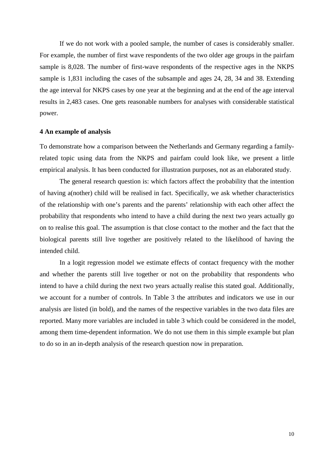If we do not work with a pooled sample, the number of cases is considerably smaller. For example, the number of first wave respondents of the two older age groups in the pairfam sample is 8,028. The number of first-wave respondents of the respective ages in the NKPS sample is 1,831 including the cases of the subsample and ages 24, 28, 34 and 38. Extending the age interval for NKPS cases by one year at the beginning and at the end of the age interval results in 2,483 cases. One gets reasonable numbers for analyses with considerable statistical power.

#### **4 An example of analysis**

To demonstrate how a comparison between the Netherlands and Germany regarding a familyrelated topic using data from the NKPS and pairfam could look like, we present a little empirical analysis. It has been conducted for illustration purposes, not as an elaborated study.

The general research question is: which factors affect the probability that the intention of having a(nother) child will be realised in fact. Specifically, we ask whether characteristics of the relationship with one's parents and the parents' relationship with each other affect the probability that respondents who intend to have a child during the next two years actually go on to realise this goal. The assumption is that close contact to the mother and the fact that the biological parents still live together are positively related to the likelihood of having the intended child.

In a logit regression model we estimate effects of contact frequency with the mother and whether the parents still live together or not on the probability that respondents who intend to have a child during the next two years actually realise this stated goal. Additionally, we account for a number of controls. In Table 3 the attributes and indicators we use in our analysis are listed (in bold), and the names of the respective variables in the two data files are reported. Many more variables are included in table 3 which could be considered in the model, among them time-dependent information. We do not use them in this simple example but plan to do so in an in-depth analysis of the research question now in preparation.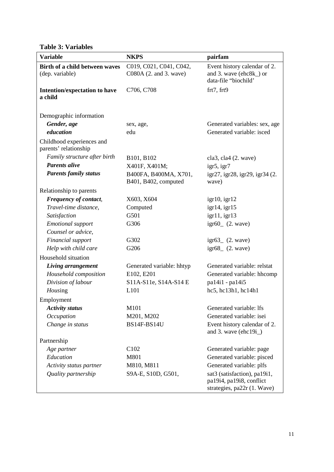## **Table 3: Variables**

| <b>Variable</b>                                    | <b>NKPS</b>                                       | pairfam                                                                                 |
|----------------------------------------------------|---------------------------------------------------|-----------------------------------------------------------------------------------------|
| Birth of a child between waves<br>(dep. variable)  | C019, C021, C041, C042,<br>C080A (2. and 3. wave) | Event history calendar of 2.<br>and 3. wave (ehc8k_) or<br>data-file "biochild"         |
| Intention/expectation to have<br>a child           | C706, C708                                        | frt7, frt9                                                                              |
| Demographic information                            |                                                   |                                                                                         |
| Gender, age                                        | sex, age,                                         | Generated variables: sex, age                                                           |
| education                                          | edu                                               | Generated variable: isced                                                               |
| Childhood experiences and<br>parents' relationship |                                                   |                                                                                         |
| Family structure after birth                       | B101, B102                                        | cla3, cla4 (2. wave)                                                                    |
| <b>Parents alive</b>                               | X401F, X401M;                                     | igr5, igr7                                                                              |
| <b>Parents family status</b>                       | B400FA, B400MA, X701,<br>B401, B402, computed     | igr27, igr28, igr29, igr34 (2.<br>wave)                                                 |
| Relationship to parents                            |                                                   |                                                                                         |
| Frequency of contact,                              | X603, X604                                        | $igr10$ , igr $12$                                                                      |
| Travel-time distance,                              | Computed                                          | igr14,igr15                                                                             |
| Satisfaction                                       | G501                                              | igr11,igr13                                                                             |
| <b>Emotional</b> support<br>Counsel or advice,     | G306                                              | $igr60$ $(2. wave)$                                                                     |
| Financial support                                  | G302                                              | $igr63$ (2. wave)                                                                       |
| Help with child care                               | G206                                              | $igr68$ $(2. wave)$                                                                     |
| Household situation                                |                                                   |                                                                                         |
| Living arrangement                                 | Generated variable: hhtyp                         | Generated variable: relstat                                                             |
| Household composition                              | E102, E201                                        | Generated variable: hhcomp                                                              |
| Division of labour                                 | S11A-S11e, S14A-S14 E                             | pa14i1 - pa14i5                                                                         |
| Housing                                            | L101                                              | hc5, hc13h1, hc14h1                                                                     |
| Employment                                         |                                                   |                                                                                         |
| <b>Activity status</b>                             | M101                                              | Generated variable: Ifs                                                                 |
| Occupation                                         | M201, M202                                        | Generated variable: isei                                                                |
| Change in status                                   | <b>BS14F-BS14U</b>                                | Event history calendar of 2.<br>and 3. wave $(ehc19i)$                                  |
| Partnership                                        |                                                   |                                                                                         |
| Age partner                                        | C <sub>102</sub>                                  | Generated variable: page                                                                |
| Education                                          | M801                                              | Generated variable: pisced                                                              |
| Activity status partner                            | M810, M811                                        | Generated variable: plfs                                                                |
| Quality partnership                                | S9A-E, S10D, G501,                                | sat3 (satisfaction), pa19i1,<br>pa19i4, pa19i8, conflict<br>strategies, pa22r (1. Wave) |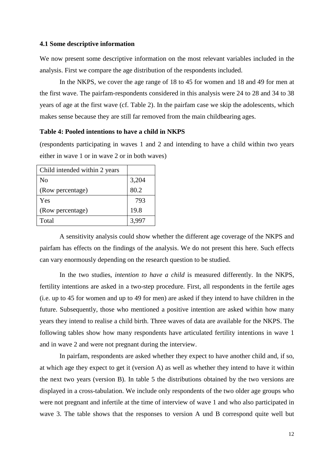## **4.1 Some descriptive information**

We now present some descriptive information on the most relevant variables included in the analysis. First we compare the age distribution of the respondents included.

In the NKPS, we cover the age range of 18 to 45 for women and 18 and 49 for men at the first wave. The pairfam-respondents considered in this analysis were 24 to 28 and 34 to 38 years of age at the first wave (cf. Table 2). In the pairfam case we skip the adolescents, which makes sense because they are still far removed from the main childbearing ages.

## **Table 4: Pooled intentions to have a child in NKPS**

(respondents participating in waves 1 and 2 and intending to have a child within two years either in wave 1 or in wave 2 or in both waves)

| Child intended within 2 years |       |
|-------------------------------|-------|
| No                            | 3,204 |
| (Row percentage)              | 80.2  |
| Yes                           | 793   |
| (Row percentage)              | 19.8  |
| Total                         | 3,997 |

A sensitivity analysis could show whether the different age coverage of the NKPS and pairfam has effects on the findings of the analysis. We do not present this here. Such effects can vary enormously depending on the research question to be studied.

In the two studies, *intention to have a child* is measured differently. In the NKPS, fertility intentions are asked in a two-step procedure. First, all respondents in the fertile ages (i.e. up to 45 for women and up to 49 for men) are asked if they intend to have children in the future. Subsequently, those who mentioned a positive intention are asked within how many years they intend to realise a child birth. Three waves of data are available for the NKPS. The following tables show how many respondents have articulated fertility intentions in wave 1 and in wave 2 and were not pregnant during the interview.

In pairfam, respondents are asked whether they expect to have another child and, if so, at which age they expect to get it (version A) as well as whether they intend to have it within the next two years (version B). In table 5 the distributions obtained by the two versions are displayed in a cross-tabulation. We include only respondents of the two older age groups who were not pregnant and infertile at the time of interview of wave 1 and who also participated in wave 3. The table shows that the responses to version A und B correspond quite well but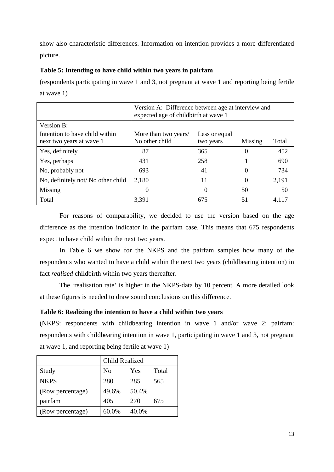show also characteristic differences. Information on intention provides a more differentiated picture.

## **Table 5: Intending to have child within two years in pairfam**

(respondents participating in wave 1 and 3, not pregnant at wave 1 and reporting being fertile at wave 1)

|                                                            | Version A: Difference between age at interview and<br>expected age of childbirth at wave 1 |                            |          |       |  |  |
|------------------------------------------------------------|--------------------------------------------------------------------------------------------|----------------------------|----------|-------|--|--|
| Version B:                                                 |                                                                                            |                            |          |       |  |  |
| Intention to have child within<br>next two years at wave 1 | More than two years/<br>No other child                                                     | Less or equal<br>two years | Missing  | Total |  |  |
| Yes, definitely                                            | 87                                                                                         | 365                        | $\Omega$ | 452   |  |  |
| Yes, perhaps                                               | 431                                                                                        | 258                        |          | 690   |  |  |
| No, probably not                                           | 693                                                                                        | 41                         | $\Omega$ | 734   |  |  |
| No, definitely not/No other child                          | 2,180                                                                                      | 11                         | $\Omega$ | 2,191 |  |  |
| Missing                                                    | $\theta$                                                                                   | $\Omega$                   | 50       | 50    |  |  |
| Total                                                      | 3,391                                                                                      | 675                        | 51       | 4,117 |  |  |

For reasons of comparability, we decided to use the version based on the age difference as the intention indicator in the pairfam case. This means that 675 respondents expect to have child within the next two years.

In Table 6 we show for the NKPS and the pairfam samples how many of the respondents who wanted to have a child within the next two years (childbearing intention) in fact *realised* childbirth within two years thereafter.

The 'realisation rate' is higher in the NKPS-data by 10 percent. A more detailed look at these figures is needed to draw sound conclusions on this difference.

## **Table 6: Realizing the intention to have a child within two years**

(NKPS: respondents with childbearing intention in wave 1 and/or wave 2; pairfam: respondents with childbearing intention in wave 1, participating in wave 1 and 3, not pregnant at wave 1, and reporting being fertile at wave 1)

|                  | <b>Child Realized</b>          |       |     |  |  |
|------------------|--------------------------------|-------|-----|--|--|
| Study            | Total<br>N <sub>0</sub><br>Yes |       |     |  |  |
| <b>NKPS</b>      | 280                            | 285   | 565 |  |  |
| (Row percentage) | 49.6%                          | 50.4% |     |  |  |
| pairfam          | 405                            | 270   | 675 |  |  |
| (Row percentage) | 60.0%                          | 40.0% |     |  |  |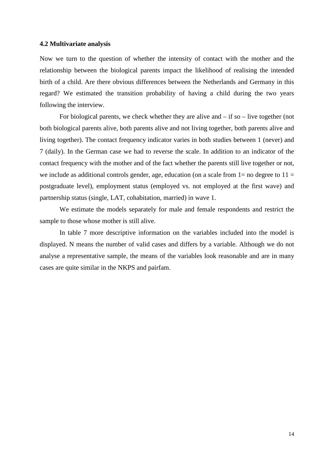## **4.2 Multivariate analysis**

Now we turn to the question of whether the intensity of contact with the mother and the relationship between the biological parents impact the likelihood of realising the intended birth of a child. Are there obvious differences between the Netherlands and Germany in this regard? We estimated the transition probability of having a child during the two years following the interview.

For biological parents, we check whether they are alive and  $-$  if so  $-$  live together (not both biological parents alive, both parents alive and not living together, both parents alive and living together). The contact frequency indicator varies in both studies between 1 (never) and 7 (daily). In the German case we had to reverse the scale. In addition to an indicator of the contact frequency with the mother and of the fact whether the parents still live together or not, we include as additional controls gender, age, education (on a scale from  $1=$  no degree to  $11=$ postgraduate level), employment status (employed vs. not employed at the first wave) and partnership status (single, LAT, cohabitation, married) in wave 1.

We estimate the models separately for male and female respondents and restrict the sample to those whose mother is still alive.

In table 7 more descriptive information on the variables included into the model is displayed. N means the number of valid cases and differs by a variable. Although we do not analyse a representative sample, the means of the variables look reasonable and are in many cases are quite similar in the NKPS and pairfam.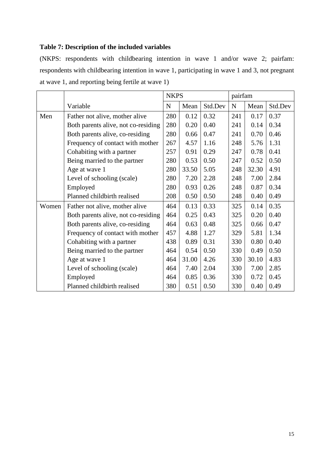## **Table 7: Description of the included variables**

(NKPS: respondents with childbearing intention in wave 1 and/or wave 2; pairfam: respondents with childbearing intention in wave 1, participating in wave 1 and 3, not pregnant at wave 1, and reporting being fertile at wave 1)

|       |                                     | <b>NKPS</b> |       |         | pairfam     |       |         |
|-------|-------------------------------------|-------------|-------|---------|-------------|-------|---------|
|       | Variable                            | $\mathbf N$ | Mean  | Std.Dev | $\mathbf N$ | Mean  | Std.Dev |
| Men   | Father not alive, mother alive      | 280         | 0.12  | 0.32    | 241         | 0.17  | 0.37    |
|       | Both parents alive, not co-residing | 280         | 0.20  | 0.40    | 241         | 0.14  | 0.34    |
|       | Both parents alive, co-residing     | 280         | 0.66  | 0.47    | 241         | 0.70  | 0.46    |
|       | Frequency of contact with mother    | 267         | 4.57  | 1.16    | 248         | 5.76  | 1.31    |
|       | Cohabiting with a partner           | 257         | 0.91  | 0.29    | 247         | 0.78  | 0.41    |
|       | Being married to the partner        | 280         | 0.53  | 0.50    | 247         | 0.52  | 0.50    |
|       | Age at wave 1                       | 280         | 33.50 | 5.05    | 248         | 32.30 | 4.91    |
|       | Level of schooling (scale)          | 280         | 7.20  | 2.28    | 248         | 7.00  | 2.84    |
|       | Employed                            | 280         | 0.93  | 0.26    | 248         | 0.87  | 0.34    |
|       | Planned childbirth realised         | 208         | 0.50  | 0.50    | 248         | 0.40  | 0.49    |
| Women | Father not alive, mother alive      | 464         | 0.13  | 0.33    | 325         | 0.14  | 0.35    |
|       | Both parents alive, not co-residing | 464         | 0.25  | 0.43    | 325         | 0.20  | 0.40    |
|       | Both parents alive, co-residing     | 464         | 0.63  | 0.48    | 325         | 0.66  | 0.47    |
|       | Frequency of contact with mother    | 457         | 4.88  | 1.27    | 329         | 5.81  | 1.34    |
|       | Cohabiting with a partner           | 438         | 0.89  | 0.31    | 330         | 0.80  | 0.40    |
|       | Being married to the partner        | 464         | 0.54  | 0.50    | 330         | 0.49  | 0.50    |
|       | Age at wave 1                       | 464         | 31.00 | 4.26    | 330         | 30.10 | 4.83    |
|       | Level of schooling (scale)          | 464         | 7.40  | 2.04    | 330         | 7.00  | 2.85    |
|       | Employed                            | 464         | 0.85  | 0.36    | 330         | 0.72  | 0.45    |
|       | Planned childbirth realised         | 380         | 0.51  | 0.50    | 330         | 0.40  | 0.49    |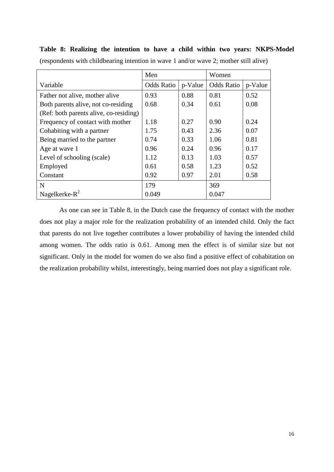|                                        | Men               |         | Women             |         |
|----------------------------------------|-------------------|---------|-------------------|---------|
| Variable                               | <b>Odds Ratio</b> | p-Value | <b>Odds Ratio</b> | p-Value |
| Father not alive, mother alive         | 0.93              | 0.88    | 0.81              | 0.52    |
| Both parents alive, not co-residing    | 0.68              | 0.34    | 0.61              | 0.08    |
| (Ref: both parents alive, co-residing) |                   |         |                   |         |
| Frequency of contact with mother       | 1.18              | 0.27    | 0.90              | 0.24    |
| Cohabiting with a partner              | 1.75              | 0.43    | 2.36              | 0.07    |
| Being married to the partner           | 0.74              | 0.33    | 1.06              | 0.81    |
| Age at wave 1                          | 0.96              | 0.24    | 0.96              | 0.17    |
| Level of schooling (scale)             | 1.12              | 0.13    | 1.03              | 0.57    |
| Employed                               | 0.61              | 0.58    | 1.23              | 0.52    |
| Constant                               | 0.92              | 0.97    | 2.01              | 0.58    |
| N                                      | 179               |         | 369               |         |
| Nagelkerke- $R^2$                      | 0.049             |         | 0.047             |         |

**Table 8: Realizing the intention to have a child within two years: NKPS-Model** (respondents with childbearing intention in wave 1 and/or wave 2; mother still alive)

As one can see in Table 8, in the Dutch case the frequency of contact with the mother does not play a major role for the realization probability of an intended child. Only the fact that parents do not live together contributes a lower probability of having the intended child among women. The odds ratio is 0.61. Among men the effect is of similar size but not significant. Only in the model for women do we also find a positive effect of cohabitation on the realization probability whilst, interestingly, being married does not play a significant role.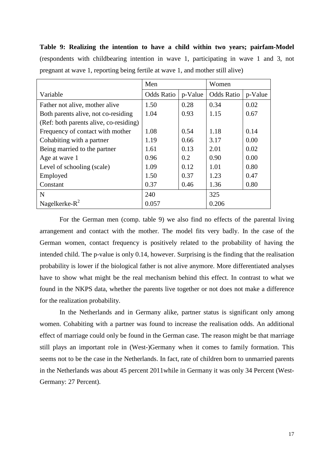**Table 9: Realizing the intention to have a child within two years; pairfam-Model** (respondents with childbearing intention in wave 1, participating in wave 1 and 3, not pregnant at wave 1, reporting being fertile at wave 1, and mother still alive)

|                                        | Men               |         | Women             |         |
|----------------------------------------|-------------------|---------|-------------------|---------|
| Variable                               | <b>Odds Ratio</b> | p-Value | <b>Odds Ratio</b> | p-Value |
| Father not alive, mother alive         | 1.50              | 0.28    | 0.34              | 0.02    |
| Both parents alive, not co-residing    | 1.04              | 0.93    | 1.15              | 0.67    |
| (Ref: both parents alive, co-residing) |                   |         |                   |         |
| Frequency of contact with mother       | 1.08              | 0.54    | 1.18              | 0.14    |
| Cohabiting with a partner              | 1.19              | 0.66    | 3.17              | 0.00    |
| Being married to the partner           | 1.61              | 0.13    | 2.01              | 0.02    |
| Age at wave 1                          | 0.96              | 0.2     | 0.90              | 0.00    |
| Level of schooling (scale)             | 1.09              | 0.12    | 1.01              | 0.80    |
| Employed                               | 1.50              | 0.37    | 1.23              | 0.47    |
| Constant                               | 0.37              | 0.46    | 1.36              | 0.80    |
| N                                      | 240               |         | 325               |         |
| Nagelkerke- $R^2$                      | 0.057             |         | 0.206             |         |

For the German men (comp. table 9) we also find no effects of the parental living arrangement and contact with the mother. The model fits very badly. In the case of the German women, contact frequency is positively related to the probability of having the intended child. The p-value is only 0.14, however. Surprising is the finding that the realisation probability is lower if the biological father is not alive anymore. More differentiated analyses have to show what might be the real mechanism behind this effect. In contrast to what we found in the NKPS data, whether the parents live together or not does not make a difference for the realization probability.

In the Netherlands and in Germany alike, partner status is significant only among women. Cohabiting with a partner was found to increase the realisation odds. An additional effect of marriage could only be found in the German case. The reason might be that marriage still plays an important role in (West-)Germany when it comes to family formation. This seems not to be the case in the Netherlands. In fact, rate of children born to unmarried parents in the Netherlands was about 45 percent 2011while in Germany it was only 34 Percent (West-Germany: 27 Percent).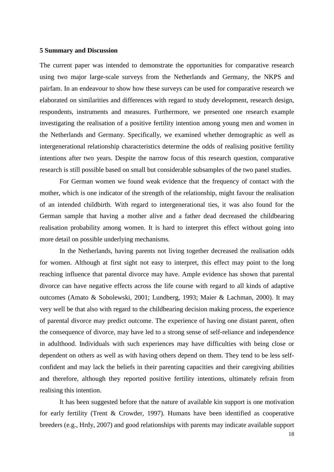#### **5 Summary and Discussion**

The current paper was intended to demonstrate the opportunities for comparative research using two major large-scale surveys from the Netherlands and Germany, the NKPS and pairfam. In an endeavour to show how these surveys can be used for comparative research we elaborated on similarities and differences with regard to study development, research design, respondents, instruments and measures. Furthermore, we presented one research example investigating the realisation of a positive fertility intention among young men and women in the Netherlands and Germany. Specifically, we examined whether demographic as well as intergenerational relationship characteristics determine the odds of realising positive fertility intentions after two years. Despite the narrow focus of this research question, comparative research is still possible based on small but considerable subsamples of the two panel studies.

For German women we found weak evidence that the frequency of contact with the mother, which is one indicator of the strength of the relationship, might favour the realisation of an intended childbirth. With regard to intergenerational ties, it was also found for the German sample that having a mother alive and a father dead decreased the childbearing realisation probability among women. It is hard to interpret this effect without going into more detail on possible underlying mechanisms.

In the Netherlands, having parents not living together decreased the realisation odds for women. Although at first sight not easy to interpret, this effect may point to the long reaching influence that parental divorce may have. Ample evidence has shown that parental divorce can have negative effects across the life course with regard to all kinds of adaptive outcomes (Amato & Sobolewski, 2001; Lundberg, 1993; Maier & Lachman, 2000). It may very well be that also with regard to the childbearing decision making process, the experience of parental divorce may predict outcome. The experience of having one distant parent, often the consequence of divorce, may have led to a strong sense of self-reliance and independence in adulthood. Individuals with such experiences may have difficulties with being close or dependent on others as well as with having others depend on them. They tend to be less selfconfident and may lack the beliefs in their parenting capacities and their caregiving abilities and therefore, although they reported positive fertility intentions, ultimately refrain from realising this intention.

It has been suggested before that the nature of available kin support is one motivation for early fertility (Trent & Crowder, 1997). Humans have been identified as cooperative breeders (e.g., Hrdy, 2007) and good relationships with parents may indicate available support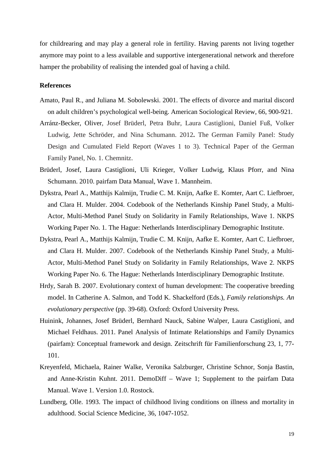for childrearing and may play a general role in fertility. Having parents not living together anymore may point to a less available and supportive intergenerational network and therefore hamper the probability of realising the intended goal of having a child.

## **References**

- Amato, Paul R., and Juliana M. Sobolewski. 2001. The effects of divorce and marital discord on adult children's psychological well-being. American Sociological Review, 66, 900-921.
- Arránz-Becker, Oliver, Josef Brüderl, Petra Buhr, Laura Castiglioni, Daniel Fuß, Volker Ludwig, Jette Schröder, and Nina Schumann. 2012**.** The German Family Panel: Study Design and Cumulated Field Report (Waves 1 to 3). Technical Paper of the German Family Panel, No. 1. Chemnitz.
- Brüderl, Josef, Laura Castiglioni, Uli Krieger, Volker Ludwig, Klaus Pforr, and Nina Schumann. 2010. pairfam Data Manual, Wave 1. Mannheim.
- Dykstra, Pearl A., Matthijs Kalmijn, Trudie C. M. Knijn, Aafke E. Komter, Aart C. Liefbroer, and Clara H. Mulder. 2004. Codebook of the Netherlands Kinship Panel Study, a Multi-Actor, Multi-Method Panel Study on Solidarity in Family Relationships, Wave 1. NKPS Working Paper No. 1. The Hague: Netherlands Interdisciplinary Demographic Institute.
- Dykstra, Pearl A., Matthijs Kalmijn, Trudie C. M. Knijn, Aafke E. Komter, Aart C. Liefbroer, and Clara H. Mulder. 2007. Codebook of the Netherlands Kinship Panel Study, a Multi-Actor, Multi-Method Panel Study on Solidarity in Family Relationships, Wave 2. NKPS Working Paper No. 6. The Hague: Netherlands Interdisciplinary Demographic Institute.
- Hrdy, Sarah B. 2007. Evolutionary context of human development: The cooperative breeding model. In Catherine A. Salmon, and Todd K. Shackelford (Eds.), *Family relationships. An evolutionary perspective* (pp. 39-68). Oxford: Oxford University Press.
- Huinink, Johannes, Josef Brüderl, Bernhard Nauck, Sabine Walper, Laura Castiglioni, and Michael Feldhaus. 2011. Panel Analysis of Intimate Relationships and Family Dynamics (pairfam): Conceptual framework and design. Zeitschrift für Familienforschung 23, 1, 77- 101.
- Kreyenfeld, Michaela, Rainer Walke, Veronika Salzburger, Christine Schnor, Sonja Bastin, and Anne-Kristin Kuhnt. 2011. DemoDiff – Wave 1; Supplement to the pairfam Data Manual. Wave 1. Version 1.0. Rostock.
- Lundberg, Olle. 1993. The impact of childhood living conditions on illness and mortality in adulthood. Social Science Medicine, 36, 1047-1052.